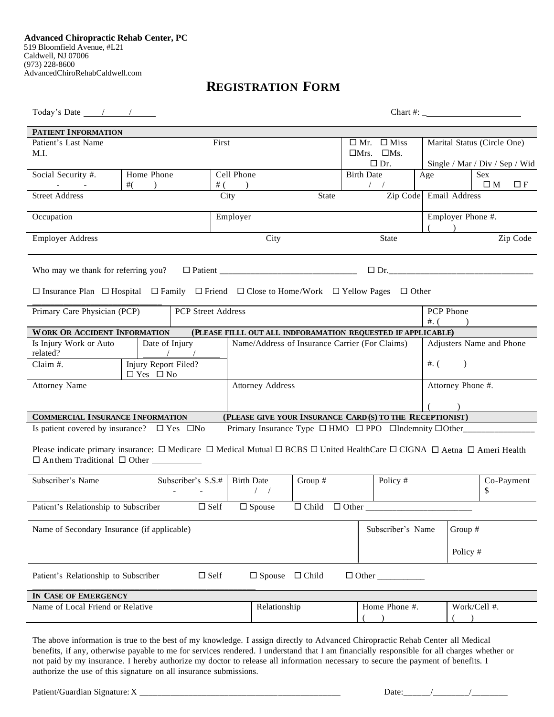# **REGISTRATION FORM**

Today's Date / / Chart #: \_

| PATIENT INFORMATION                                                                                                                                         |            |                    |             |                                                                            |              |                        |                                       |                             |               |                                       |            |
|-------------------------------------------------------------------------------------------------------------------------------------------------------------|------------|--------------------|-------------|----------------------------------------------------------------------------|--------------|------------------------|---------------------------------------|-----------------------------|---------------|---------------------------------------|------------|
| Patient's Last Name                                                                                                                                         |            |                    | First       |                                                                            |              | $\Box$ Mr. $\Box$ Miss |                                       | Marital Status (Circle One) |               |                                       |            |
| M.I.                                                                                                                                                        |            |                    |             |                                                                            |              |                        | $\Box$ Mrs. $\Box$ Ms.                |                             |               |                                       |            |
|                                                                                                                                                             | Home Phone |                    |             |                                                                            |              |                        | $\Box$ Dr.                            | Age                         |               | Single / Mar / Div / Sep / Wid<br>Sex |            |
| Social Security #.                                                                                                                                          | #(         |                    |             | Cell Phone<br>#(                                                           |              |                        | <b>Birth Date</b><br>$\left  \right $ |                             |               | $\square$ M                           | $\Box F$   |
| <b>Street Address</b>                                                                                                                                       |            |                    | City        |                                                                            | <b>State</b> |                        | Zip Code                              |                             | Email Address |                                       |            |
|                                                                                                                                                             |            |                    |             |                                                                            |              |                        |                                       |                             |               |                                       |            |
| Occupation                                                                                                                                                  |            |                    |             | Employer                                                                   |              |                        |                                       | Employer Phone #.           |               |                                       |            |
| <b>Employer Address</b>                                                                                                                                     |            |                    |             | City<br><b>State</b>                                                       |              |                        |                                       |                             | Zip Code      |                                       |            |
| Who may we thank for referring you?                                                                                                                         |            |                    |             |                                                                            |              |                        | $\Box$ Dr.                            |                             |               |                                       |            |
|                                                                                                                                                             |            |                    |             |                                                                            |              |                        |                                       |                             |               |                                       |            |
| $\Box$ Insurance Plan $\Box$ Hospital $\Box$ Family $\Box$ Friend $\Box$ Close to Home/Work $\Box$ Yellow Pages $\Box$ Other                                |            |                    |             |                                                                            |              |                        |                                       |                             |               |                                       |            |
| Primary Care Physician (PCP)                                                                                                                                |            | PCP Street Address |             |                                                                            |              |                        |                                       | PCP Phone                   |               |                                       |            |
|                                                                                                                                                             |            |                    |             |                                                                            |              |                        |                                       | #. (                        |               |                                       |            |
| <b>WORK OR ACCIDENT INFORMATION</b>                                                                                                                         |            |                    |             | (PLEASE FILLL OUT ALL INDFORAMATION REQUESTED IF APPLICABLE)               |              |                        |                                       |                             |               |                                       |            |
| Is Injury Work or Auto<br>Date of Injury<br>related?<br>$\sqrt{2}$                                                                                          |            |                    |             | Name/Address of Insurance Carrier (For Claims)                             |              |                        |                                       | Adjusters Name and Phone    |               |                                       |            |
| Injury Report Filed?<br>Claim #.<br>$\Box$ Yes $\Box$ No                                                                                                    |            |                    |             |                                                                            |              |                        |                                       | # (                         | $\mathcal{L}$ |                                       |            |
| <b>Attorney Name</b>                                                                                                                                        |            |                    |             | <b>Attorney Address</b>                                                    |              |                        | Attorney Phone #.                     |                             |               |                                       |            |
|                                                                                                                                                             |            |                    |             |                                                                            |              |                        |                                       |                             |               |                                       |            |
| <b>COMMERCIAL INSURANCE INFORMATION</b>                                                                                                                     |            |                    |             | (PLEASE GIVE YOUR INSURANCE CARD (S) TO THE RECEPTIONIST)                  |              |                        |                                       |                             |               |                                       |            |
| Is patient covered by insurance? $\square$ Yes $\square$ No                                                                                                 |            |                    |             | Primary Insurance Type $\Box$ HMO $\Box$ PPO $\Box$ Indemnity $\Box$ Other |              |                        |                                       |                             |               |                                       |            |
| Please indicate primary insurance: $\Box$ Medicare $\Box$ Medical Mutual $\Box$ BCBS $\Box$ United HealthCare $\Box$ CIGNA $\Box$ Aetna $\Box$ Ameri Health |            |                    |             |                                                                            |              |                        |                                       |                             |               |                                       |            |
| Subscriber's Name                                                                                                                                           |            | Subscriber's S.S.# |             | <b>Birth Date</b>                                                          | Group #      |                        | Policy #                              |                             |               |                                       | Co-Payment |
|                                                                                                                                                             |            |                    |             | $1 - 1$                                                                    |              |                        |                                       |                             |               | \$                                    |            |
| Patient's Relationship to Subscriber                                                                                                                        |            | $\Box$ Self        |             | $\Box$ Spouse                                                              |              |                        |                                       |                             |               |                                       |            |
| Name of Secondary Insurance (if applicable)                                                                                                                 |            |                    |             | Subscriber's Name                                                          |              |                        | Group #                               |                             |               |                                       |            |
|                                                                                                                                                             |            |                    |             |                                                                            |              |                        |                                       |                             | Policy #      |                                       |            |
|                                                                                                                                                             |            |                    |             |                                                                            |              |                        |                                       |                             |               |                                       |            |
| Patient's Relationship to Subscriber                                                                                                                        |            |                    | $\Box$ Self | $\Box$ Spouse                                                              | $\Box$ Child |                        |                                       |                             |               |                                       |            |
| IN CASE OF EMERGENCY                                                                                                                                        |            |                    |             |                                                                            |              |                        |                                       |                             |               |                                       |            |
| Name of Local Friend or Relative                                                                                                                            |            |                    |             | Relationship                                                               |              | Home Phone #.          |                                       | Work/Cell #.                |               |                                       |            |
|                                                                                                                                                             |            |                    |             |                                                                            |              |                        |                                       |                             |               |                                       |            |

The above information is true to the best of my knowledge. I assign directly to Advanced Chiropractic Rehab Center all Medical benefits, if any, otherwise payable to me for services rendered. I understand that I am financially responsible for all charges whether or not paid by my insurance. I hereby authorize my doctor to release all information necessary to secure the payment of benefits. I authorize the use of this signature on all insurance submissions.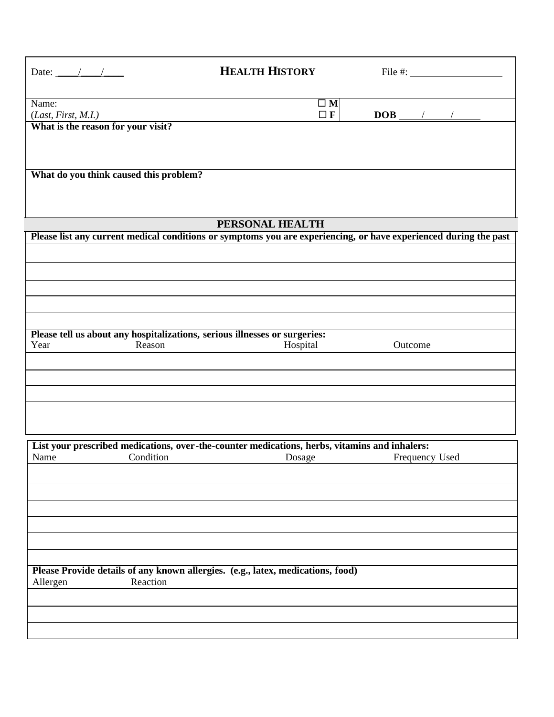| Date: $\frac{1}{\sqrt{1-\frac{1}{2}}}$                                                                             | <b>HEALTH HISTORY</b>   | File $#$ :                        |
|--------------------------------------------------------------------------------------------------------------------|-------------------------|-----------------------------------|
| Name:<br>(Last, First, M.I.)<br>What is the reason for your visit?                                                 | $\square$ M<br>$\Box$ F | $\boxed{\text{DOB}}_{\text{max}}$ |
| What do you think caused this problem?                                                                             |                         |                                   |
|                                                                                                                    |                         |                                   |
|                                                                                                                    | PERSONAL HEALTH         |                                   |
| Please list any current medical conditions or symptoms you are experiencing, or have experienced during the past   |                         |                                   |
|                                                                                                                    |                         |                                   |
| Please tell us about any hospitalizations, serious illnesses or surgeries:                                         |                         |                                   |
| Reason<br>Year                                                                                                     | Hospital                | Outcome                           |
|                                                                                                                    |                         |                                   |
|                                                                                                                    |                         |                                   |
|                                                                                                                    |                         |                                   |
|                                                                                                                    |                         |                                   |
| List your prescribed medications, over-the-counter medications, herbs, vitamins and inhalers:<br>Condition<br>Name | Dosage                  | Frequency Used                    |
|                                                                                                                    |                         |                                   |
|                                                                                                                    |                         |                                   |
|                                                                                                                    |                         |                                   |
|                                                                                                                    |                         |                                   |
|                                                                                                                    |                         |                                   |
| Please Provide details of any known allergies. (e.g., latex, medications, food)<br>Reaction<br>Allergen            |                         |                                   |
|                                                                                                                    |                         |                                   |
|                                                                                                                    |                         |                                   |
|                                                                                                                    |                         |                                   |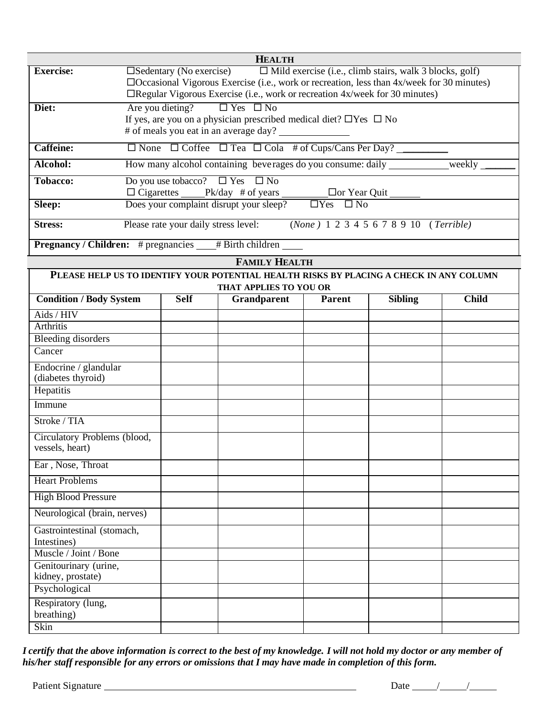| <b>HEALTH</b>                                                  |                                                                                                                                                                                                                                                                                            |  |  |  |  |
|----------------------------------------------------------------|--------------------------------------------------------------------------------------------------------------------------------------------------------------------------------------------------------------------------------------------------------------------------------------------|--|--|--|--|
| <b>Exercise:</b>                                               | $\Box$ Sedentary (No exercise) $\Box$ Mild exercise (i.e., climb stairs, walk 3 blocks, golf)<br>$\Box$ Occasional Vigorous Exercise (i.e., work or recreation, less than 4x/week for 30 minutes)<br>$\Box$ Regular Vigorous Exercise (i.e., work or recreation $4x$ /week for 30 minutes) |  |  |  |  |
| Diet:                                                          | Are you dieting? $\square$ Yes $\square$ No<br>If yes, are you on a physician prescribed medical diet? $\Box$ Yes $\Box$ No<br># of meals you eat in an average day?                                                                                                                       |  |  |  |  |
| <b>Caffeine:</b>                                               | $\Box$ None $\Box$ Coffee $\Box$ Tea $\Box$ Cola # of Cups/Cans Per Day?                                                                                                                                                                                                                   |  |  |  |  |
| Alcohol:                                                       | How many alcohol containing beverages do you consume: daily<br>weekly                                                                                                                                                                                                                      |  |  |  |  |
| <b>Tobacco:</b>                                                | Do you use tobacco? $\Box$ Yes $\Box$ No<br>$\Box$ or Year Quit                                                                                                                                                                                                                            |  |  |  |  |
| Sleep:                                                         | Does your complaint disrupt your sleep?<br>$\Box$ Yes $\Box$ No                                                                                                                                                                                                                            |  |  |  |  |
| <b>Stress:</b>                                                 | (None) 1 2 3 4 5 6 7 8 9 10 (Terrible)<br>Please rate your daily stress level:                                                                                                                                                                                                             |  |  |  |  |
| <b>Pregnancy / Children:</b> # pregnancies<br># Birth children |                                                                                                                                                                                                                                                                                            |  |  |  |  |

|                                                                                         |             | <b>FAMILY HEALTH</b> |               |                |              |  |
|-----------------------------------------------------------------------------------------|-------------|----------------------|---------------|----------------|--------------|--|
| PLEASE HELP US TO IDENTIFY YOUR POTENTIAL HEALTH RISKS BY PLACING A CHECK IN ANY COLUMN |             |                      |               |                |              |  |
| THAT APPLIES TO YOU OR                                                                  |             |                      |               |                |              |  |
| <b>Condition / Body System</b>                                                          | <b>Self</b> | Grandparent          | <b>Parent</b> | <b>Sibling</b> | <b>Child</b> |  |
| Aids / HIV                                                                              |             |                      |               |                |              |  |
| <b>Arthritis</b>                                                                        |             |                      |               |                |              |  |
| <b>Bleeding disorders</b>                                                               |             |                      |               |                |              |  |
| Cancer                                                                                  |             |                      |               |                |              |  |
| Endocrine / glandular<br>(diabetes thyroid)                                             |             |                      |               |                |              |  |
| Hepatitis                                                                               |             |                      |               |                |              |  |
| Immune                                                                                  |             |                      |               |                |              |  |
| Stroke / TIA                                                                            |             |                      |               |                |              |  |
| Circulatory Problems (blood,<br>vessels, heart)                                         |             |                      |               |                |              |  |
| Ear, Nose, Throat                                                                       |             |                      |               |                |              |  |
| <b>Heart Problems</b>                                                                   |             |                      |               |                |              |  |
| <b>High Blood Pressure</b>                                                              |             |                      |               |                |              |  |
| Neurological (brain, nerves)                                                            |             |                      |               |                |              |  |
| Gastrointestinal (stomach,<br>Intestines)                                               |             |                      |               |                |              |  |
| Muscle / Joint / Bone                                                                   |             |                      |               |                |              |  |
| Genitourinary (urine,<br>kidney, prostate)                                              |             |                      |               |                |              |  |
| Psychological                                                                           |             |                      |               |                |              |  |
| Respiratory (lung,<br>breathing)                                                        |             |                      |               |                |              |  |
| Skin                                                                                    |             |                      |               |                |              |  |

I certify that the above information is correct to the best of my knowledge. I will not hold my doctor or any member of *his/her staff responsible for any errors or omissions that I may have made in completion of this form.*

Patient Signature Date / /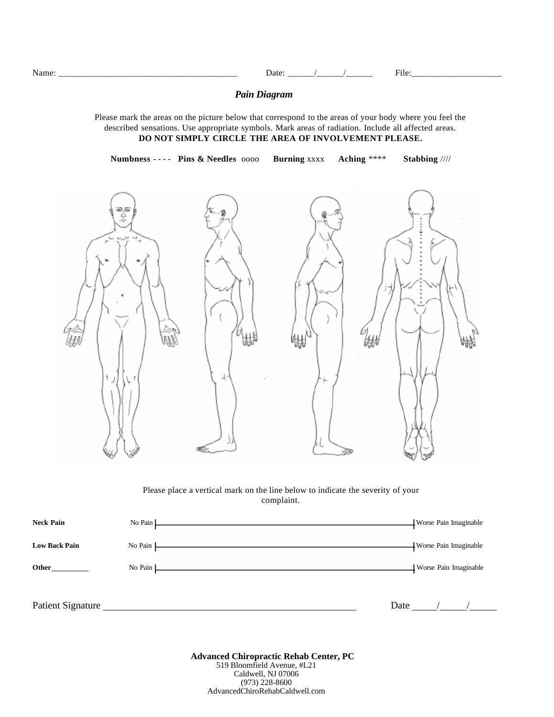Name: \_\_\_\_\_\_\_\_\_\_\_\_\_\_\_\_\_\_\_\_\_\_\_\_\_\_\_\_\_\_\_\_\_\_\_\_\_\_\_\_ Date: \_\_\_\_\_\_/\_\_\_\_\_\_/\_\_\_\_\_\_ File:\_\_\_\_\_\_\_\_\_\_\_\_\_\_\_\_\_\_\_\_

### *Pain Diagram*

Please mark the areas on the picture below that correspond to the areas of your body where you feel the described sensations. Use appropriate symbols. Mark areas of radiation. Include all affected areas. **DO NOT SIMPLY CIRCLE THE AREA OF INVOLVEMENT PLEASE.**

**Numbness** - - - - **Pins & Needles** oooo **Burning** xxxx **Aching** \*\*\*\* **Stabbing** ////



Please place a vertical mark on the line below to indicate the severity of your complaint.

| <b>Neck Pain</b>     | No Pain L                                                                                                                                                                                                                                       | <b>Worse Pain Imaginable</b> |
|----------------------|-------------------------------------------------------------------------------------------------------------------------------------------------------------------------------------------------------------------------------------------------|------------------------------|
| <b>Low Back Pain</b> | No Pain $\Box$                                                                                                                                                                                                                                  | <b>Worse Pain Imaginable</b> |
| Other                | No Pain $\Box$<br>the control of the control of the control of the control of the control of the control of the control of the control of the control of the control of the control of the control of the control of the control of the control | Worse Pain Imaginable        |
|                      |                                                                                                                                                                                                                                                 |                              |
| Patient Signature    |                                                                                                                                                                                                                                                 | Date                         |

**Advanced Chiropractic Rehab Center, PC** 519 Bloomfield Avenue, #L21 Caldwell, NJ 07006 (973) 228-8600 AdvancedChiroRehabCaldwell.com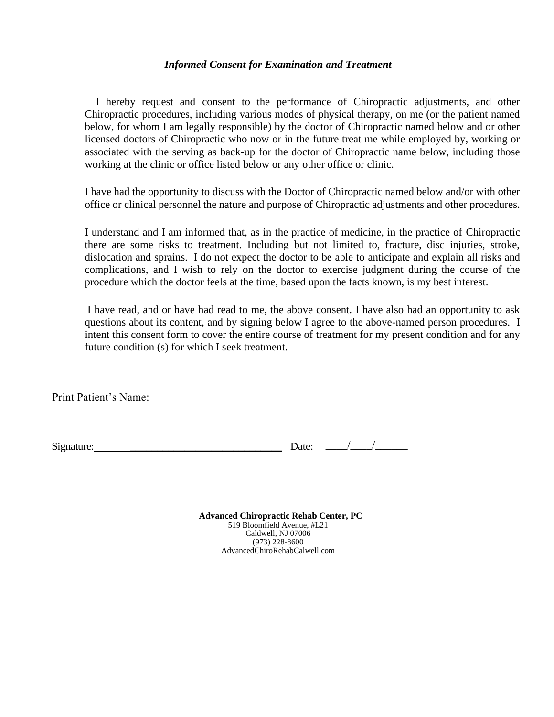## *Informed Consent for Examination and Treatment*

I hereby request and consent to the performance of Chiropractic adjustments, and other Chiropractic procedures, including various modes of physical therapy, on me (or the patient named below, for whom I am legally responsible) by the doctor of Chiropractic named below and or other licensed doctors of Chiropractic who now or in the future treat me while employed by, working or associated with the serving as back-up for the doctor of Chiropractic name below, including those working at the clinic or office listed below or any other office or clinic.

I have had the opportunity to discuss with the Doctor of Chiropractic named below and/or with other office or clinical personnel the nature and purpose of Chiropractic adjustments and other procedures.

I understand and I am informed that, as in the practice of medicine, in the practice of Chiropractic there are some risks to treatment. Including but not limited to, fracture, disc injuries, stroke, dislocation and sprains. I do not expect the doctor to be able to anticipate and explain all risks and complications, and I wish to rely on the doctor to exercise judgment during the course of the procedure which the doctor feels at the time, based upon the facts known, is my best interest.

I have read, and or have had read to me, the above consent. I have also had an opportunity to ask questions about its content, and by signing below I agree to the above-named person procedures. I intent this consent form to cover the entire course of treatment for my present condition and for any future condition (s) for which I seek treatment.

Print Patient's Name:

| Signature: |  |
|------------|--|
|            |  |

Signature: \_\_\_\_\_\_\_\_\_\_\_\_\_\_\_\_\_\_\_\_\_\_\_\_\_\_\_\_ Date: \_\_\_\_/\_\_\_\_/\_\_\_\_\_\_

**Advanced Chiropractic Rehab Center, PC** 519 Bloomfield Avenue, #L21 Caldwell, NJ 07006 (973) 228-8600 AdvancedChiroRehabCalwell.com